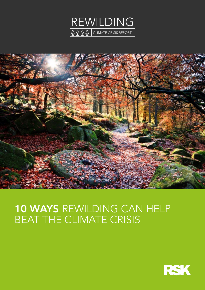



# 10 WAYS REWILDING CAN HELP BEAT THE CLIMATE CRISIS

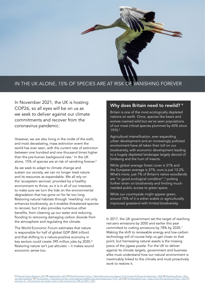

## IN THE UK ALONE, 15% OF SPECIES ARE AT RISK OF VANISHING FOREVER

In November 2021, the UK is hosting COP26, so all eyes will be on us as we seek to deliver against our climate commitments and recover from the coronavirus pandemic.

However, we are also living in the midst of the sixth, and most devastating, mass extinction event the world has ever seen, with the current rate of extinction between one hundred and one thousand times higher than the pre-human background rate.1 In the UK alone, 15% of species are at risk of vanishing forever.<sup>2</sup>

As we seek to adapt to climate change and sustain our society, we can no longer treat nature and its resources as expendable. We all rely on the 'ecosystem services' provided by a healthy environment to thrive, so it is in all of our interests to make sure we turn the tide on the environmental degradation that has gone on for far too long. Restoring natural habitats through 'rewilding' not only enhances biodiversity, as it enables threatened species to recover, but it also provides numerous other benefits, from cleaning up our water and reducing flooding to removing damaging carbon dioxide from the atmosphere and regulating the climate.

The World Economic Forum estimates that nature is responsible for half of global GDP (\$44 trillion) and that shifting to a nature-positive economy in key sectors could create 395 million jobs by 2030.³ Restoring nature isn't just altruistic – it makes sound economic sense too.

## Why does Britain need to rewild? 4

Britain is one of the most ecologically depleted nations on earth. Once, species like bears and wolves roamed wild but we've seen populations of our most critical species plummet by 60% since 1970.5

Agricultural intensification, ever expanding urban development and an increasingly polluted environment have all taken their toll on our biodiversity, with economic development leading to a hugely depleted landscape largely devoid of birdsong and the hum of insects.

While global average forest cover is 31% and the European average is 37%, ours is just 13.2%. What's more, just 7% of Britain's native woodlands are "in good ecological condition",<sup>6</sup> putting further strain on biodiversity and limiting muchneeded public access to green space.

While our countryside might appear green, around 70% of it is either arable or agriculturally improved grassland with limited biodiversity.

In 2017, the UK government set the target of reaching net-zero emissions by 2050 and earlier this year committed to cutting emissions by 78% by 2035.7 Making the shift to renewable energy and low-carbon technology will of course help us get closer to that point, but harnessing natural assets is the missing piece of the jigsaw puzzle. For the UK to deliver against its climate targets, government and business alike must understand how our natural environment is inextricably linked to the climate and must proactively work to restore it.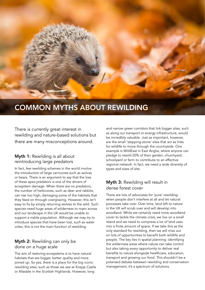

## COMMON MYTHS ABOUT REWILDING

There is currently great interest in rewilding and nature-based solutions but there are many misconceptions around.

## Myth 1: Rewilding is all about reintroducing large predators

In fact, few rewilding schemes in the world involve the introduction of large carnivores such as wolves or bears. There is an argument to say that the loss of these apex predators is one of the drivers of ecosystem damage. When there are no predators, the number of herbivores, such as deer and rabbits, can rise too high, damaging some of the habitats that they feed on through overgrazing. However, this isn't easy to fix by simply returning wolves to the wild. Such species need huge areas of wilderness to roam across and our landscape in the UK would be unable to support a viable population. Although we may try to introduce species that have been lost, such as water voles, this is not the main function of rewilding.

## Myth 2: Rewilding can only be done on a huge scale

The aim of restoring ecosystems is to have natural habitats that are bigger, better quality and more joined up. So yes, there is a place for the big iconic rewilding sites, such as those we see at Knepp Castle or Alladale in the Scottish Highlands. However, long

and narrow green corridors that link bigger sites, such as along our transport or energy infrastructure, would be incredibly valuable. Just as important, however, are the small 'stepping-stone' sites that act as links for wildlife to move through the countryside. One example is WildEast in East Anglia, where anyone can pledge to rewild 20% of their garden, churchyard, schoolyard or farm to contribute to an effective regional network. In fact, we need a wide diversity of types and sizes of site.

## Myth 3: Rewilding will result in dense forest cover

There are lots of advocates for 'pure' rewilding: when people don't interfere at all and let natural processes take over. Over time, land left to nature in the UK will scrub over and will develop into woodland. While we certainly need more woodland cover to tackle the climate crisis, we live on a small island and we need to compress a lot of land uses into a finite amount of space. If we take this as the only standard for rewilding, then we will miss out on lots of opportunities to benefit both wildlife and people. The key lies in spatial planning: identifying the wilderness areas where nature can take control but also taking every opportunity to deliver real benefits to nature alongside healthcare, education, transport and growing our food. This shouldn't be a polarised debate between rewilding and conservation management; it's a spectrum of solutions.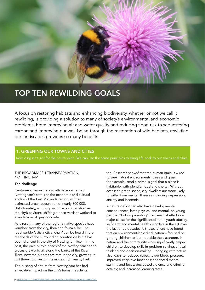

## TOP TEN REWILDING GOALS

A focus on restoring habitats and enhancing biodiversity, whether or not we call it rewilding, is providing a solution to many of society's environmental and economic problems. From improving air and water quality and reducing flood risk to sequestering carbon and improving our well-being through the restoration of wild habitats, rewilding our landscapes provides so many benefits.

## 1. GREENING OUR TOWNS AND CITIES

Rewilding isn't just for the countryside. We can use the same principles to bring life back to our towns and cities.

#### THE BROADMARSH TRANSFORMATION, NOTTINGHAM

#### The challenge

Centuries of industrial growth have cemented Nottingham's status as the economic and cultural anchor of the East Midlands region, with an estimated urban population of nearly 800,000. Unfortunately, all this growth has also transformed the city's environs, shifting a once-verdant wetland to a landscape of grey concrete.

As a result, many of the region's native species have vanished from the city, flora and fauna alike. The reed warbler's distinctive 'churr' can be heard in the reedbeds of the surrounding countryside but it has been silenced in the city of Nottingham itself. In the past, the pale purple heads of the Nottingham spring crocus grew wild all along the banks of the River Trent; now the blooms are rare in the city, growing in just three colonies on the edge of University Park.

The ousting of nature from Nottingham has had a negative impact on the city's human residents

too. Research shows<sup>8</sup> that the human brain is wired to seek natural environments: trees and grass, for example, send a primal signal that a place is habitable, with plentiful food and shelter. Without access to green space, city-dwellers are more likely to suffer from mental illnesses including depression, anxiety and insomnia.

A nature deficit can also have developmental consequences, both physical and mental, on young people. "Indoor parenting" has been labelled as a major cause for the significant climb in youth obesity, self-harm and mental health disorders in the UK over the last three decades. US researchers have found that an environment-based education – focused on getting children to learn outside the classroom, in nature and the community – has significantly helped children to develop skills in problem-solving, critical thinking and decision-making. Engaging with nature also leads to reduced stress; lower blood pressure; improved cognitive functions; enhanced mental stamina and focus; decreased violence and criminal activity; and increased learning rates.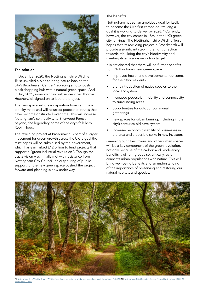

#### The solution

In December 2020, the Nottinghamshire Wildlife Trust unveiled a plan to bring nature back to the city's Broadmarsh Centre,<sup>9</sup> replacing a notoriously bleak shopping hub with a natural green space. And in July 2021, award-winning urban designer Thomas Heatherwick signed on to lead the project.

The new space will draw inspiration from centuriesold city maps and will resurrect pedestrian routes that have become obstructed over time. This will increase Nottingham's connectivity to Sherwood Forest beyond, the legendary home of the city's folk hero Robin Hood.

The rewilding project at Broadmarsh is part of a larger movement for green growth across the UK, a goal the trust hopes will be subsidised by the government, which has earmarked £12 billion to fund projects that support a "green industrial revolution". Though the trust's vision was initially met with resistance from Nottingham City Council, an outpouring of public support for the new green space pushed the project forward and planning is now under way.

#### The benefits

Nottingham has set an ambitious goal for itself: to become the UK's first carbon-neutral city, a goal it is working to deliver by 2028.10 Currently, however, the city comes in 18th in the UK's green city rankings. The Nottinghamshire Wildlife Trust hopes that its rewilding project in Broadmarsh will provide a significant step in the right direction towards rebuilding the city's biodiversity and meeting its emissions reduction target.

It is anticipated that there will be further benefits from Nottingham's new green space:

- improved health and developmental outcomes for the city's residents
- the reintroduction of native species to the local ecosystem
- increased pedestrian mobility and connectivity to surrounding areas
- opportunities for outdoor communal gatherings
- new spaces for urban farming, including in the city's centuries-old cave system
- increased economic viability of businesses in the area and a possible spike in new investors.

Greening our cities, towns and other urban spaces will be a key component of the green revolution, not only because of the carbon and biodiversity benefits it will bring but also, critically, as it connects urban populations with nature. This will bring well-being benefits and an understanding of the importance of preserving and restoring our natural habitats and species.

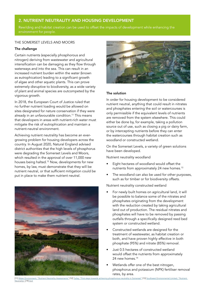## 2. NUTRIENT NEUTRALITY AND HOUSING DEVELOPMENT

Rewilding and habitat creation can be used to offset the impacts of development while enhancing the environment for people.

#### THE SOMERSET LEVELS AND MOORS

#### The challenge

Certain nutrients (especially phosphorous and nitrogen) deriving from wastewater and agricultural intensification can be damaging as they flow through waterways and into the sea. This can result in an increased nutrient burden within the water (known as eutrophication) leading to a significant growth of algae and other aquatic plants. This can prove extremely disruptive to biodiversity, as a wide variety of plant and animal species are outcompeted by the vigorous growth.

In 2018, the European Court of Justice ruled that no further nutrient loading would be allowed on sites designated for nature conservation if they were already in an unfavourable condition.<sup>11</sup> This means that developers in areas with nutrient-rich water must mitigate the risk of eutrophication and maintain a nutrient-neutral environment.

Achieving nutrient neutrality has become an evergrowing problem for housing developers across the country. In August 2020, Natural England advised district authorities that the high levels of phosphorus were degrading the Somerset Levels and Moors, which resulted in the approval of over 11,000 new houses being halted.<sup>12</sup> Now, developments for new homes, by law, must demonstrate that they will be nutrient neutral, or that sufficient mitigation could be put in place to make them nutrient neutral.





#### The solution

In order for housing development to be considered nutrient neutral, anything that could result in nitrates and phosphates entering the soil or watercourses is only permissible if the equivalent levels of nutrients are removed from the system elsewhere. This could either be done by, for example, taking a pollution source out of use, such as closing a pig or dairy farm, or by intercepting nutrients before they can enter the watercourses through habitat creation such as woodland or constructed wetland.

On the Somerset Levels, a variety of green solutions have been developed.

Nutrient neutrality woodland

- Eight hectares of woodland would offset the nutrients from approximately 24 new homes.<sup>13</sup>
- The woodland can also be used for other purposes, such as for timber or for biodiversity offsets.

Nutrient neutrality constructed wetland

- For newly built homes on agricultural land, it will be possible to balance some of the nitrates and phosphates originating from the development with the reduction created by taking agricultural land out of production. The residual nitrates and phosphates will have to be removed by passing outfalls through a specifically designed reed bed system or constructed wetland.
- Constructed wetlands are designed for the treatment of wastewater, as habitat creation or both, and have proven highly effective in both phosphate (95%) and nitrate (85%) removal.
- Just 0.5 hectares of constructed wetland would offset the nutrients from approximately 24 new homes.<sup>14</sup>
- Wetlands offer one of the best nitrogen, phosphorus and potassium (NPK) fertiliser removal rates, by area.

[Neutrality"](https://southwest-environmental.co.uk/further info/agricultural_consultants/nutrient_neutrality.html) [14] [ibid](https://southwest-environmental.co.uk/further info/agricultural_consultants/nutrient_neutrality.html)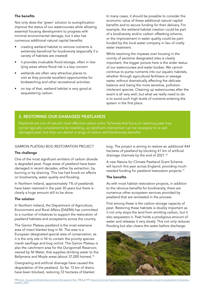#### The benefits

Not only does the 'green' solution to eutrophication improve the status of our watercourses while allowing essential housing development to progress with minimal environmental damage, but it also has numerous additional natural capital benefits:

- creating wetland habitat to remove nutrients is extremely beneficial for biodiversity (especially if a variety of habitats are created)
- it provides invaluable flood storage, often in lowlying areas where flood risk is a key concern
- wetlands are often very attractive places to visit as they provide excellent opportunities for birdwatching and other recreational activities
- on top of that, wetland habitat is very good at sequestering carbon.

In many cases, it should be possible to consider the economic value of these additional natural capital benefits and to secure funding for their delivery. For example, the wetland habitat creation could be part of a biodiversity and/or carbon offsetting scheme, or the improvement in water quality could be partfunded by the local water company in lieu of costly water treatment.

While resolving the impasse over housing in the vicinity of sensitive designated sites is clearly important, the bigger picture here is the wider status of our watercourses and water bodies. We cannot continue to pump nutrients into our aquatic habitats, whether through agricultural fertilisers or sewage water, without dramatically affecting the delicate balance and losing the more sensitive, pollutionintolerant species. Cleaning up watercourses after the event is all very well, but what we really need to do is to avoid such high levels of nutrients entering the system in the first place.

### 3. RESTORING OUR DAMAGED PEATLANDS

Peatlands are one of nature's most effective carbon sinks. Schemes that focus on restoring peat may not be typically considered to be rewilding, as significant intervention can be necessary to re-wet damaged peat, but they can deliver a range of carbon and biodiversity benefits.

#### GARRON PLATEAU BOG RESTORATION PROJECT

#### The challenge

One of the most significant emitters of carbon dioxide is degraded peat. Huge areas of peatland have been damaged in recent decades, either by extraction, by burning or by draining. This has had knock-on effects on biodiversity, water quality and flooding.

In Northern Ireland, approximately 1% of peatlands have been restored in the past 30 years but there is clearly a huge amount still to be done.

#### The solution

In Northern Ireland, the Department of Agriculture, Environment and Rural Affairs (DAERA) has committed to a number of initiatives to support the restoration of peatland habitats and ecosystems across the country.

The Garron Plateau peatland is the most extensive area of intact blanket bog in NI. The area is a European designated special area of conservation, as it is the only site in NI to contain the priority species marsh saxifrage and bog orchid. The Garron Plateau is also the catchment area for the Dungonnell Reservoir, owned by NI Water, that supplies drinking water to the Ballymena and Moyle areas (about 37,000 homes).<sup>15</sup>

Overgrazing and artificial drainage have caused the degradation of the peatland. So far, 15 km of drains have been blocked, restoring 72 hectares of blanket bog. The project is aiming to restore an additional 444 hectares of peatland by blocking 41 km of artificial drainage channels by the end of 2021.16

A new Nature for Climate Peatland Grant Scheme will launch this year across England, providing muchneeded funding for peatland restoration projects.17

#### The benefits

As with most habitat restoration projects, in addition to the obvious benefits for biodiversity, there are numerous other ecosystem services provided by peatland that are reinstated in the process.

First among these is the carbon storage capacity of peat. Restoring these habitats is doubly important as it not only stops the land from emitting carbon, but it also sequesters it. Peat holds a prodigious amount of water and releases it very slowly. This not only reduces flooding but also cleans the water before discharge.

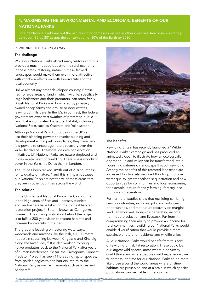## 4. MAXIMISING THE ENVIRONMENTAL AND ECONOMIC BENEFITS OF OUR NATIONAL PARKS

Britain's National Parks are not the nature-rich wildernesses we see in other countries. Rewilding could help us hit our '30 by 30' target: the conservation of 30% of the Earth by 2030.

#### REWILDING THE CAIRNGORMS

#### The challenge

While our National Parks attract many visitors and thus provide a much-needed boost to the rural economy in these areas, restoring nature in these farmed landscapes would make them even more attractive, with knock-on effects on both biodiversity and the local economy.

Unlike almost any other developed country, Britain has no large areas of land in which wildlife, specifically large herbivores and their predators, can roam freely. British National Parks are dominated by privately owned sheep farms and grouse or deer estates, leaving our hills bare. In the US, in contrast, the federal government owns vast swathes of protected public land that is dominated by natural habitat, including National Parks such as Yosemite and Yellowstone.

Although National Park Authorities in the UK can use their planning powers to restrict building and development within park boundaries, they have very few powers to encourage nature recovery over the wider landscape. Therefore, despite conservation initiatives, UK National Parks are nature-depleted and in desperate need of rewilding. There is less woodland cover in the Yorkshire Dales than in London.

The UK has been ranked 189th out of 218 countries for its quality of nature,<sup>18</sup> and this is in part because our National Parks are not the wilderness areas that they are in other countries across the world.

#### The solution

In the UK's largest National Park – the Cairngorms in the Highlands of Scotland – conservationists and landowners have taken on the biggest habitat restoration project in Britain, known as Cairngorms Connect. The driving motivation behind the project is to fulfil a 200-year vision to restore habitats and increase biodiversity in the park.

The group is focusing on restoring waterways, woodlands and marshes like the Insh, a 1000-metre floodplain stretching between Kingussie and Kincraig along the River Spey.19 It is also working to bring native predators back to the National Park after years of human interference. So far, the Cairngorms Connect Predator Project has seen 11 breeding raptor species, from golden eagles to hen harriers, return to the National Park, as well as mammals such as foxes and badgers.<sup>20</sup>



#### The benefits

Rewilding Britain has recently launched a "Wilder National Parks" campaign and has produced an animated video<sup>21</sup> to illustrate how an ecologically degraded upland valley can be transformed into a flourishing nature-rich landscape through rewilding. Among the benefits of this restored landscape are increased biodiversity, reduced flooding, improved water quality, greater carbon sequestration and new opportunities for communities and local economies, for example, nature-friendly farming, forestry, ecotourism and recreation.

Furthermore, studies show that rewilding can bring new opportunities, including jobs and volunteering opportunities, and that nature recovery on marginal land can work well alongside generating income from food production and livestock. Far from compromising their ability to provide an income for rural communities, rewilding our National Parks would enable diversification that would provide a more sustainable future for residents and wildlife alike.

All our National Parks would benefit from this sort of rewilding or habitat restoration. These could be our largest wild spaces, areas where biodiversity could thrive and where people could experience true wilderness. It's time for our National Parks to be more like those around the world: areas where pristine habitats are preserved and at a scale in which species populations can be viable in the long term.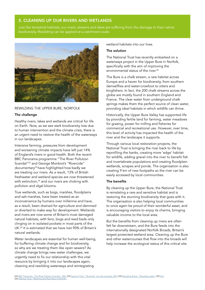### 5. CLEANING UP OUR RIVERS AND WETLANDS

Just like terrestrial habitats, our rivers, streams and lakes are suffering from the damage to their native biodiversity. Rewilding can be applied at a catchment scale.



#### REWILDING THE UPPER BURE, NORFOLK

#### The challenge

Healthy rivers, lakes and wetlands are critical for life on Earth. Now, as we see stark biodiversity loss due to human intervention and the climate crisis, there is an urgent need to restore the health of the waterways in our landscapes.

Intensive farming, pressures from development and worsening climate impacts have left just 14% of England's rivers in good health. Both the recent BBC Panorama programme "The River Pollution Scandal"22 and George Monbiot's "Rivercide" documentary<sup>23</sup> have highlighted how badly we are treating our rivers. As a result, 13% of British freshwater and wetland species are now threatened with extinction,<sup>24</sup> and our rivers are choking with pollution and algal blooms.

True wetlands, such as bogs, marshes, floodplains and salt marshes, have been treated as an inconvenience by humans over millennia and have, as a result, been drained for agriculture and dammed or diverted to make way for development. Wetlands and rivers are now some of Britain's most damaged natural habitats, with fens, bogs and reed beds only clinging on in isolated pockets in most parts of the UK.25 It is estimated that we have lost 90% of Britain's natural wetlands.

Water landscapes are essential for human well-being, for buffering climate change and for biodiversity, so why are we treating them like open sewers? As climate change brings new water challenges, we urgently need to fix our relationship with this vital resource by bringing it into our landscapes again, cleaning and rewilding waterways and reintegrating

wetland habitats into our lives

#### The solution

The National Trust has recently embarked on a waterways project in the Upper Bure in Norfolk, specifically with the aim of improving the environmental status of the river<sup>26</sup>

The Bure is a chalk stream, a rare habitat across Europe and a haven for biodiversity, from southern damselflies and water-crowfoot to otters and kingfishers. In fact, the 200 chalk streams across the globe are mostly found in southern England and France. The clear water from underground chalk springs makes them the perfect source of clean water, providing ideal habitats in which wildlife can thrive.

Historically, the Upper Bure Valley has supported life by providing fertile land for farming, water meadows for grazing, power for milling and fisheries for commercial and recreational use. However, over time, this level of activity has impacted the health of the river and the landscape it supports.

Through various local restoration projects, the National Trust is bringing the river back to life by reprofiling the banks, creating more 'edge' habitat for wildlife, adding gravel into the river to benefit fish and invertebrate populations and creating floodplain wetlands, scrapes and ponds. The organisation is also creating 9 km of new footpaths so the river can be easily accessed by local communities.

#### The benefits

By cleaning up the Upper Bure, the National Trust is reinstating a rare and sensitive habitat and is restoring the stunning biodiversity that goes with it. The organisation is also helping local communities to once again be proud of their wonderful asset, and is encouraging visitors to enjoy its charms, bringing valuable income to the local area.

But the benefits from cleaning up rivers are often felt far downstream, and the Bure feeds into the internationally designated Norfolk Broads, Britain's largest protected wetland area. Cleaning up the Bure and other watercourses that flow into the broads will help increase the ecological status of this critical site.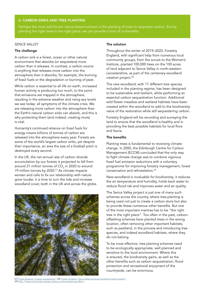#### 6. CARBON SINKS AND TREE PLANTING

Perhaps the most well-known nature-based solution is the planting of trees to sequester carbon. But by planting the right trees in the right place, we can provide a host of co-benefits.

### SENCE VALLEY

#### The challenge

A carbon sink is a forest, ocean or other natural environment that absorbs (or sequesters) more carbon than it releases. In contrast, a carbon source is anything that releases more carbon into the atmosphere than it absorbs, for example, the burning of fossil fuels or the degradation or burning of peat.

While carbon is essential to all life on earth, increased human activity is producing too much, to the point that emissions are trapped in the atmosphere, resulting in the extreme weather and rising sea levels we see today: all symptoms of the climate crisis. We are releasing more carbon into the atmosphere than the Earth's natural carbon sinks can absorb, and this is why protecting them (and indeed, creating more) is vital.

Humanity's continued reliance on fossil fuels for energy means billions of tonnes of carbon are released into the atmosphere every year. Forests are some of the world's largest carbon sinks, yet despite their importance, an area the size of a football pitch is destroyed every second.

In the UK, the net annual rate of carbon dioxide accumulation by our forests is projected to fall from around 21 million tonnes of CO $_{\textrm{\scriptsize{2}}}$  in 2020 to around 19 million tonnes by 2030.27 As climate impacts worsen and calls to fix our relationship with nature grow louder, it is time to turn the tide and increase woodland cover, both in the UK and across the globe.



#### The solution

Throughout the winter of 2019–2020, Forestry England, with significant help from numerous local community groups, from the scouts to the Women's Institute, planted 100,000 trees on the 100 acres of land adjacent to Sence Valley in north-western Leicestershire, as part of the centenary woodland creation project.<sup>28</sup>

The new woodland, with 17 different tree species included in the planting regime, has been designed to be sustainable and resilient, while performing an essential carbon sequestration function. Additional wild flower meadow and wetland habitats have been created within the woodland to add to the biodiversity value of the restoration while still sequestering carbon.

Forestry England will be recording and surveying the land to ensure that the woodland is healthy and is providing the best possible habitats for local flora and fauna.

#### The benefits

Planting trees is fundamental to reversing climate change. In 2000, the Edinburgh Centre for Carbon Management (ECCM) concluded that the only way to fight climate change was to combine vigorous fossil fuel emission reductions with a voluntary programme for improving forestry management, forest conservation and reforestation.29

New woodland is invaluable for biodiversity; it reduces the air temperature and humidity, holds back water to reduce flood risk and improves water and air quality.

The Sence Valley project is just one of many such schemes across the country, where tree-planting is being used not just to create a carbon store but also to provide these numerous other benefits. But one of the most important mantras has to be "the right tree in the right place". Too often in the past, carbonoffsetting schemes have planted trees in the wrong location, often removing other important habitats, such as peatland, in the process and introducing tree species, and indeed woodland habitats, where they do not belong.

To be most effective, tree planting schemes need to be ecologically appropriate, well planned and sensitive to the local environment. Where this is ensured, the biodiversity gains, as well as the other benefits such as carbon sequestration, flood protection and recreational enjoyment of the countryside, can be enormous.

[27] <u>[Forest Research, "Carbon sequestration"](https://www.forestresearch.gov.uk/tools-and-resources/statistics/forestry-statistics/forestry-statistics-2018/uk-forests-and-climate-change/carbon-sequestration/)</u> [28] <u>[Forestry England, "Sence Valley centenary woodland creation project.](https://www.forestryengland.uk/sence-valley-centenary-woodland-creation-project)"</u><br>[29] <u>[FAO, "Forests and climate change, Carbon and the greenhouse effect "](C:\Users\HNewhill\Downloads\fao.org\3\ac836e\AC836E03.htm)</u>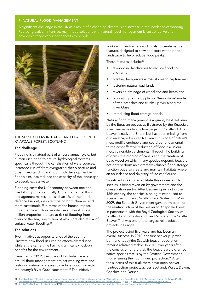#### 7. NATURAL FLOOD MANAGEMENT

A significant challenge in the UK as a result of a changing climate is an increase in the incidence of flooding. Replacing carbon-intensive, man-made solutions with natural flood management is cost-effective and provides a range of further benefits to people.



THE SUSSEX FLOW INITIATIVE AND BEAVERS IN THE KNAPDALE FOREST, SCOTLAND

#### The challenge

Flooding is a natural part of a river's annual cycle, but human disruption to natural hydrological systems, specifically through the canalisation of watercourses, increased run-off from overgrazed sheep pasture and urban hardstanding and too much development in floodplains, has reduced the capacity of the landscape to absorb excess water.

Flooding costs the UK economy between one and five billion pounds annually. Currently, natural flood management makes up less than 1% of the flood defence budget, despite it being both cheaper and more sustainable.30 In terms of the human impact, more than five million people live and work in 2.4 million properties that are at risk of flooding from rivers or the sea, one million of which are also at risk of surface water flooding.<sup>31</sup>

#### The solutions

Two initiatives at opposite ends of the country illustrate how flood risk can be effectively reduced while at the same time having significant knock-on benefits for the environment.

Launched in 2012, the Sussex Flow Initiative is a natural flood management project working with and restoring natural processes to reduce flood risk within the county's River Ouse catchment.<sup>32</sup> The initiative

works with landowners and locals to create natural features designed to slow and store water in the landscape to help reduce flood peaks.

These features include: 33

- re-wooding landscapes to reduce flooding and run-off
- planting hedgerows across slopes to capture rain
- restoring natural washlands
- reversing drainage of woodland and heathland
- replicating nature by placing 'leaky dams' made of tree branches and trunks upriver along the River Ouse
- introducing flood storage ponds.

Natural flood management is arguably best delivered by the Eurasian beaver, as illustrated by the Knapdale River beaver reintroduction project in Scotland. The beaver is native to Britain but has been missing from our landscape for over 400 years. It is one of nature's most prolific engineers and could be fundamental to the cost-effective reduction of flood risk in our most vulnerable catchments. Through the building of dams, the digging of canals and the creation of dead wood on which many species depend, beavers not only perform an extremely valuable flood storage function but also create and maintain habitats where an abundance and diversity of life can flourish.

Significant work to rehabilitate this once-abundant species is being taken on by government and the conservation sector. After becoming extinct in the 16th century, the species is being reintroduced to sites across England, Scotland and Wales.<sup>34</sup> In Mav 2009, the Scottish Government gave permission for the reintroduction of the beaver to Knapdale Forest. In partnership with the Royal Zoological Society of Scotland and Forestry and Land Scotland, the Scottish Beaver Trial was one of the largest reintroduction projects in Europe.35

The project lasted five years and has been an overall success. In 2010, the first beaver pup was born and today the Scottish beaver population remains relatively stable. In 2016, two years after the conclusion of the trial, the beavers were granted native species status by the Scottish Government, thus ensuring their continued protection.<sup>36</sup> After the success of this trial, there have been beaver reintroduction projects across Scotland, Wales, Devon, Cheshire and Dorset.

[30] <u>[Rewilding Britain, "Rewilding to enable natural flood management".](https://www.rewildingbritain.org.uk/blog/rewilding-to-enable-natural-flood-management)</u> [31] <u>Environment Agency, "National flood and Coastal Erosion Risk Management Strategy for England", 2020</u><br>[32] <u>Sussex Wildlife Trust, "Sussex flow</u> [35] [Scottish Wildlife Trust, "Scottish Beavers"](https://scottishwildlifetrust.org.uk/our-work/our-projects/scottish-beavers/) [36] [Environment and Society Portal, "Resistance and rewilding: The return of Beavers to Knapdale forest", 2019](http://www.environmentandsociety.org/arcadia/resistance-and-rewilding-return-beavers-knapdale-forest)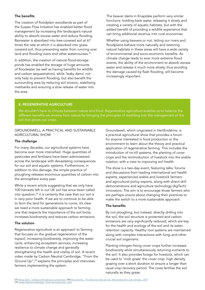#### The benefits

The creation of floodplain woodlands as part of the Sussex Flow Initiative has enabled better flood management by increasing the landscape's natural ability to absorb excess water and reduce flooding. Rainwater is absorbed into tree-covered soil at 67 times the rate at which it is absorbed into grasscovered soil, thus preventing water from running over land and flooding rivers and other watercourses.<sup>37</sup>

In addition, the creation of natural flood-storage ponds has enabled the storage of huge amounts of floodwater (as well as having benefits for wildlife and carbon sequestration), while 'leaky dams' not only help to prevent flooding, but also benefit the surrounding area by reducing soil erosion, stabilising riverbanks and ensuring a slow release of water into the area.

The beaver dams in Knapdale perform very similar functions: holding back water, releasing it slowly and creating a variety of aquatic habitats, but with the added benefit of providing a wildlife experience that can bring additional revenue into rural economies.

Whether using beavers or not, letting our rivers and floodplains behave more naturally and restoring natural habitats in these areas will have a wide variety of environmental and socio-economic benefits. As climate change leads to ever more extreme flood events, the ability of the environment to absorb excess water and release it much more slowly, thus avoiding the damage caused by flash flooding, will become increasingly important.

#### 8. REGENERATIVE AGRICULTURE

We shouldn't have to choose between nature and food. Regenerative agriculture enables us to balance the different benefits we receive from nature by bringing the principles of rewilding into the management of the soil that grows our crops.

#### GROUNDSWELL, A PRACTICAL AND SUSTAINABLE AGRICULTURAL SHOW

#### The challenge

For many decades, our agricultural systems have become ever more intensified. Huge quantities of pesticides and fertilisers have been administered across the landscape with devastating consequences for our soil and aquatic systems. Furthermore, in addition to this damage, the simple practice of ploughing releases enormous quantities of carbon into the atmosphere every year.

While a recent article suggesting that we only have 100 harvests left in our UK soil has since been called into question,<sup>38</sup> it is certainly the case that our soil is in very poor health. If we are to continue to be able to farm the land for generations to come, it's clear we need a more sustainable approach to farming; one that respects the importance of the soil biota, increases biodiversity and reduces carbon emissions.

#### The solution

Regenerative agriculture is an approach to farming that focuses on the gradual regeneration of the topsoil, increasing biodiversity, improving the water cycle, enhancing ecosystem services, increasing resilience to climate change and generally strengthening the health and vitality of soil. A recent video made by Carbon Neutral Cambridge, "From the Ground Up",39 explains the principles and interviews farmers implementing the system.

Groundswell, which originated in Hertfordshire, is a practical agricultural show that provides a forum for anyone interested in food production or the environment to learn about the theory and practical application of regenerative farming. This includes the introduction of no-till systems, the planting of cover crops and the reintroduction of livestock into the arable rotation, with a view to improving soil health.

The show is a two-day event, featuring talks, forums and discussions from leading international soil health experts, experienced arable and livestock farmers and agricultural policy experts, along with direct-drill demonstrations and agriculture technology (AgTech) innovators. The aim is to encourage those farmers who are perhaps unsure about changing their practices to make the switch to a more sustainable approach.

#### The benefits

By not ploughing, but instead, directly drilling into the soil, the soil structure is protected and carbon emissions are very significantly reduced, which are key for the health and ecology of the soil and its water retention capacity. Healthy root systems are maintained along with complex interactions with fungi and other crucial soil organisms.

Planting nitrogen-fixing cover crops further increases biodiversity while simultaneously returning nutrients to the soil. It also provides forage for livestock, which can be used to 'mob graze' the cover crop: high density grazing over a short duration to ensure a longer than usual crop recovery period. The cows fertilise the soil naturally as they graze.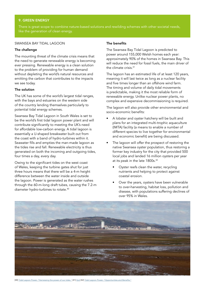#### 9. GREEN ENERGY

There is great scope to combine nature-based solutions and rewilding schemes with other societal needs, like the generation of clean energy.

#### SWANSEA BAY TIDAL LAGOON

#### The challenge

The mounting threat of the climate crisis means that the need to generate renewable energy is becoming ever pressing. Renewable energy is a clean solution to the problem of providing for human demand without depleting the world's natural resources and emitting the carbon that contributes to the impacts we see today.

#### The solution

The UK has some of the world's largest tidal ranges, with the bays and estuaries on the western side of the country lending themselves particularly to potential tidal energy schemes.

Swansea Bay Tidal Lagoon in South Wales is set to be the world's first tidal lagoon power plant and will contribute significantly to meeting the UK's need for affordable low-carbon energy. A tidal lagoon is essentially a U-shaped breakwater built out from the coast with a band of hydro-turbines within it. Seawater fills and empties the man-made lagoon as the tides rise and fall. Renewable electricity is thus generated on both the incoming and outgoing tides, four times a day, every day.

Owing to the significant tides on the west coast of Wales, keeping the turbine gates shut for just three hours means that there will be a 4-m height difference between the water inside and outside the lagoon. Power is generated as the water rushes through the 60-m-long draft tubes, causing the 7.2-m diameter hydro-turbines to rotate.40

#### The benefits

The Swansea Bay Tidal Lagoon is predicted to power around 155,000 Welsh homes each year: approximately 90% of the homes in Swansea Bay. This will reduce the need for fossil fuels, the main driver of the climate crisis.<sup>41</sup>

The lagoon has an estimated life of at least 120 years, meaning it will last twice as long as a nuclear facility and five times longer than an offshore wind farm. The timing and volume of daily tidal movements is predictable, making it the most reliable form of renewable energy. Unlike nuclear power plants, no complex and expensive decommissioning is required.

The lagoon will also provide other environmental and socio-economic benefits:

- A lobster and oyster hatchery will be built and plans for an integrated multi-trophic aquaculture (IMTA) facility (a means to enable a number of different species to live together for environmental and economic benefit) are being discussed.
- The lagoon will offer the prospect of restoring the native Swansea oyster population, thus restoring a former key industry for the city that provided 500 local jobs and landed 16 million oysters per year at its peak in the late 1800s.<sup>42</sup>
	- Oyster reefs clean the water, recycling nutrients and helping to protect against coastal erosion.
	- Over the years, oysters have been vulnerable to over-harvesting, habitat loss, pollution and disease, with populations suffering declines of over 95% in Wales.



[40] [Tidal Lagoon Power, "Harnessing the power of our tides](http://www.tidallagoonpower.com/projects/swansea-bay/)." [41] [Ibid](http://www.tidallagoonpower.com/projects/swansea-bay/) [42] [Tidal Lagoon Power, "Opportunities and Benefits."](http://www.tidallagoonpower.com/projects/swansea-bay/opportunities-and-benefits/)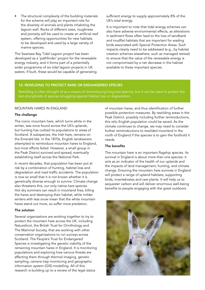The structural complexity of the building materials for the scheme will play an important role for the diversity of animals and plants inhabiting the lagoon wall. Rocks of different sizes, roughness and porosity will be used to create an artificial reef system, offering opportunities for new habitats to be developed and used by a large variety of marine species.

The Swansea Bay Tidal Lagoon project has been developed as a 'pathfinder' project for the renewable energy industry, and it forms part of a potentially wider programme of six tidal lagoon projects in UK waters. If built, these would be capable of generating sufficient energy to supply approximately 8% of the UK's total energy.

It is important to note that tidal energy schemes can also have adverse environmental effects, as alterations in sediment flows often lead to the loss of sandbank and mudflat habitats that are important for wading birds associated with Special Protection Areas. Such impacts clearly need to be addressed (e.g., by habitat creation schemes elsewhere, such as managed retreat) to ensure that the value of the renewable energy is not compromised by a net decrease in the habitat available to these important species.

#### 10. REWILDING TO PROTECT RARE OR ENDANGERED SPECIES

Rewilding is often thought of as a means of reintroducing long-lost species, but it can be used to protect the last strongholds of species struggling against habitat loss or degradation.

#### MOUNTAIN HARES IN ENGLAND

#### The challenge

The iconic mountain hare, which turns white in the winter, was once found across the UK's uplands, but hunting has curbed its populations to areas of Scotland. A subspecies, the Irish hare, remains on the Emerald Isle. In the 1870s, English landowners attempted to reintroduce mountain hares to England, but most efforts failed. However, a small group in the Peak District survived and spread, eventually establishing itself across the National Park.

In recent decades, that population has been put at risk by a combination of hunting, habitat loss and degradation and road traffic accidents. The population is now so small that it is not known whether it is genetically diverse enough to survive. Climate change also threatens this, our only native hare species. Hot dry summers can result in moorland fires, killing the hares and destroying their habitat, while milder winters with less snow mean that the white mountain hares stand out more, so suffer more predation.

#### The solution

Several organisations are working together to try to protect the mountain hare across the UK, including NatureScot, the British Trust for Ornithology and The Mammal Society, that are working with other conservation organisations to run surveys across Scotland. The People's Trust for Endangered Species is investigating the genetic viability of the remaining mountain hares in England. It is monitoring populations and exploring how various threats are affecting them through thermal imaging, genetic sampling, camera trap monitoring and geographic information system (GIS) modelling. All of this research is building up to a review of the legal status

of mountain hares, and thus identification of further possible protection measures. By rewilding areas in the Peak District, possibly including further reintroductions, this relic English population could be saved. As the climate continues to change, we may need to consider further reintroductions to rewilded moorland in the north of England if the species is to gain the foothold it needs.

#### The benefits

The mountain hare is an important flagship species. Its survival in England is about more than one species: it acts as an indicator of the health of our uplands and the impacts of land management, hunting, and climate change. Ensuring the mountain hare survives in England will protect a range of upland habitats, supporting birds, invertebrates and rare plants. It will help us to sequester carbon and will deliver enormous well-being benefits to people engaging with the great outdoors.

![](_page_13_Picture_15.jpeg)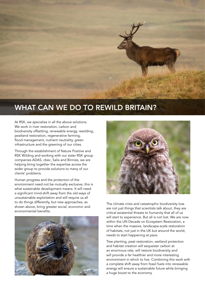![](_page_14_Picture_0.jpeg)

## WHAT CAN WE DO TO REWILD BRITAIN?

At RSK, we specialise in all the above solutions. We work in river restoration, carbon and biodiversity offsetting, renewable energy, rewilding, peatland restoration, regenerative farming, flood management, nutrient neutrality, green infrastructure and the greening of our cities.

Through the establishment of Nature Positive and RSK Wilding and working with our sister RSK group companies ADAS, cbec, Salix and Binnies, we are helping bring together the expertise across the wider group to provide solutions to many of our clients' problems.

Human progress and the protection of the environment need not be mutually exclusive; this is what sustainable development means. It will need a significant mind-shift away from the old ways of unsustainable exploitation and will require us all to do things differently, but new approaches, as shown above, bring greater social, economic and environmental benefits.

![](_page_14_Picture_5.jpeg)

![](_page_14_Picture_6.jpeg)

The climate crisis and catastrophic biodiversity loss are not just things that scientists talk about, they are critical existential threats to humanity that all of us will start to experience. But all is not lost. We are now within the UN Decade on Ecosystem Restoration, a time when the massive, landscape-scale restoration of habitats, not just in the UK but around the world, needs to start happening at pace.

Tree planting, peat restoration, wetland protection and habitat creation will sequester carbon at an enormous rate, will restore biodiversity and will provide a far healthier and more interesting environment in which to live. Combining this work with a complete shift away from fossil fuels into renewable energy will ensure a sustainable future while bringing a huge boost to the economy.